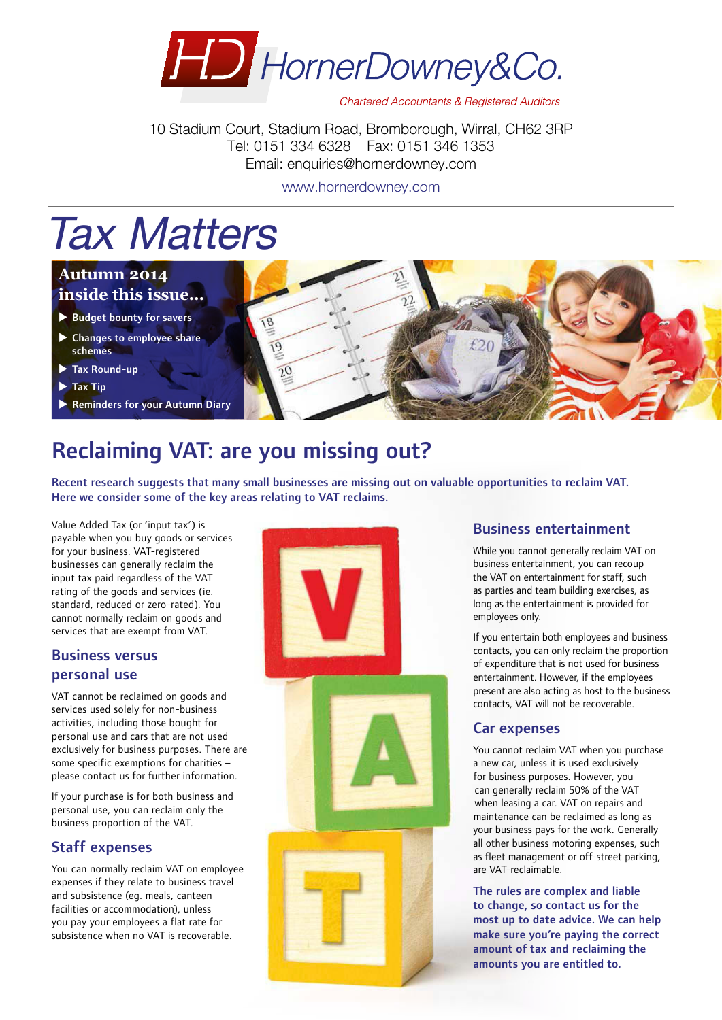

**Chartered Accountants & Registered Auditors** 

10 Stadium Court, Stadium Road, Bromborough, Wirral, CH62 3RP Tel: 0151 334 6328 Fax: 0151 346 1353 Email: enquiries@hornerdowney.com

www.hornerdowney.com

# Tax Matters

#### **Autumn 2014 inside this issue...**

- $\blacktriangleright$  Budget bounty for savers
- $\blacktriangleright$  Changes to employee share schemes
- $\blacktriangleright$  Tax Round-up
- $\blacktriangleright$  Tax Tip
- **Reminders for your Autumn Diary**



# Reclaiming VAT: are you missing out?

18

 $\overline{19}$ 

Recent research suggests that many small businesses are missing out on valuable opportunities to reclaim VAT. Here we consider some of the key areas relating to VAT reclaims.

Value Added Tax (or 'input tax') is payable when you buy goods or services for your business. VAT-registered businesses can generally reclaim the input tax paid regardless of the VAT rating of the goods and services (ie. standard, reduced or zero-rated). You cannot normally reclaim on goods and services that are exempt from VAT.

## Business versus personal use

VAT cannot be reclaimed on goods and services used solely for non-business activities, including those bought for personal use and cars that are not used exclusively for business purposes. There are some specific exemptions for charities – please contact us for further information.

If your purchase is for both business and personal use, you can reclaim only the business proportion of the VAT.

#### Staff expenses

You can normally reclaim VAT on employee expenses if they relate to business travel and subsistence (eg. meals, canteen facilities or accommodation), unless you pay your employees a flat rate for subsistence when no VAT is recoverable.



## Business entertainment

While you cannot generally reclaim VAT on business entertainment, you can recoup the VAT on entertainment for staff, such as parties and team building exercises, as long as the entertainment is provided for employees only.

If you entertain both employees and business contacts, you can only reclaim the proportion of expenditure that is not used for business entertainment. However, if the employees present are also acting as host to the business contacts, VAT will not be recoverable.

#### Car expenses

You cannot reclaim VAT when you purchase a new car, unless it is used exclusively for business purposes. However, you can generally reclaim 50% of the VAT when leasing a car. VAT on repairs and maintenance can be reclaimed as long as your business pays for the work. Generally all other business motoring expenses, such as fleet management or off-street parking, are VAT-reclaimable.

The rules are complex and liable to change, so contact us for the most up to date advice. We can help make sure you're paying the correct amount of tax and reclaiming the amounts you are entitled to.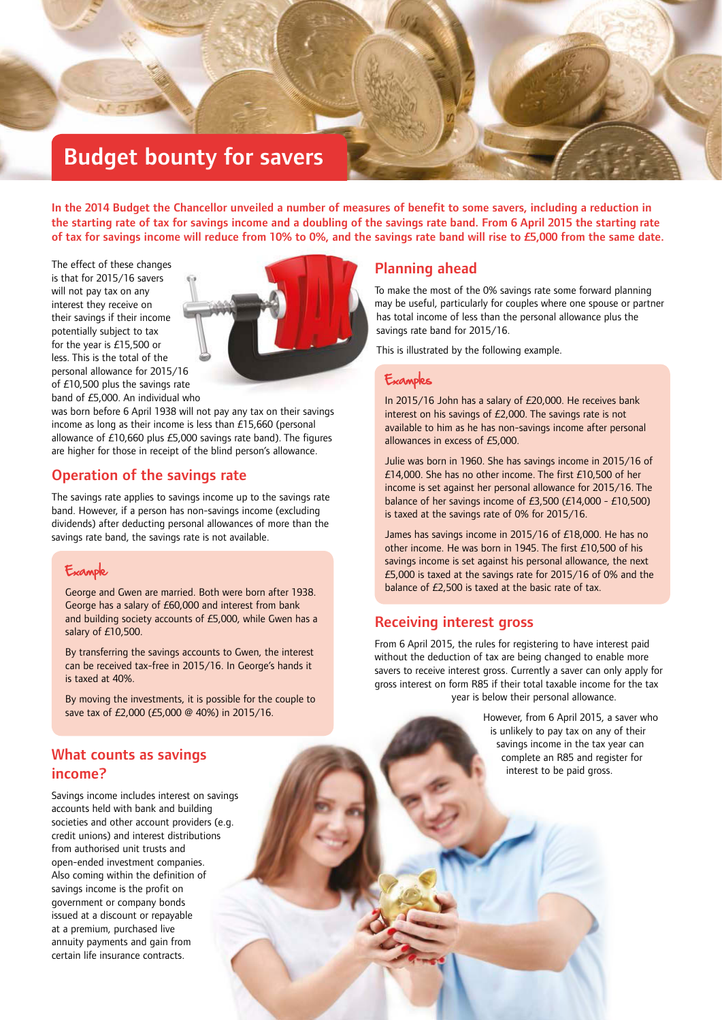# Budget bounty for savers

In the 2014 Budget the Chancellor unveiled a number of measures of benefit to some savers, including a reduction in the starting rate of tax for savings income and a doubling of the savings rate band. From 6 April 2015 the starting rate of tax for savings income will reduce from 10% to 0%, and the savings rate band will rise to £5,000 from the same date.

The effect of these changes is that for 2015/16 savers will not pay tax on any interest they receive on their savings if their income potentially subject to tax for the year is £15,500 or less. This is the total of the personal allowance for 2015/16 of £10,500 plus the savings rate band of £5,000. An individual who



was born before 6 April 1938 will not pay any tax on their savings income as long as their income is less than £15,660 (personal allowance of £10,660 plus £5,000 savings rate band). The figures are higher for those in receipt of the blind person's allowance.

#### Operation of the savings rate

The savings rate applies to savings income up to the savings rate band. However, if a person has non‑savings income (excluding dividends) after deducting personal allowances of more than the savings rate band, the savings rate is not available.

## Example

George and Gwen are married. Both were born after 1938. George has a salary of £60,000 and interest from bank and building society accounts of £5,000, while Gwen has a salary of £10,500.

By transferring the savings accounts to Gwen, the interest can be received tax-free in 2015/16. In George's hands it is taxed at 40%.

By moving the investments, it is possible for the couple to save tax of £2,000 (£5,000 @ 40%) in 2015/16.

## What counts as savings income?

Savings income includes interest on savings accounts held with bank and building societies and other account providers (e.g. credit unions) and interest distributions from authorised unit trusts and open‑ended investment companies. Also coming within the definition of savings income is the profit on government or company bonds issued at a discount or repayable at a premium, purchased live annuity payments and gain from certain life insurance contracts.

#### Planning ahead

To make the most of the 0% savings rate some forward planning may be useful, particularly for couples where one spouse or partner has total income of less than the personal allowance plus the savings rate band for 2015/16.

This is illustrated by the following example.

#### Examples

In 2015/16 John has a salary of £20,000. He receives bank interest on his savings of £2,000. The savings rate is not available to him as he has non-savings income after personal allowances in excess of £5,000.

Julie was born in 1960. She has savings income in 2015/16 of £14,000. She has no other income. The first £10,500 of her income is set against her personal allowance for 2015/16. The balance of her savings income of £3,500 (£14,000 - £10,500) is taxed at the savings rate of 0% for 2015/16.

James has savings income in 2015/16 of £18,000. He has no other income. He was born in 1945. The first £10,500 of his savings income is set against his personal allowance, the next £5,000 is taxed at the savings rate for 2015/16 of 0% and the balance of £2,500 is taxed at the basic rate of tax.

#### Receiving interest gross

From 6 April 2015, the rules for registering to have interest paid without the deduction of tax are being changed to enable more savers to receive interest gross. Currently a saver can only apply for gross interest on form R85 if their total taxable income for the tax year is below their personal allowance.

> However, from 6 April 2015, a saver who is unlikely to pay tax on any of their savings income in the tax year can complete an R85 and register for interest to be paid gross.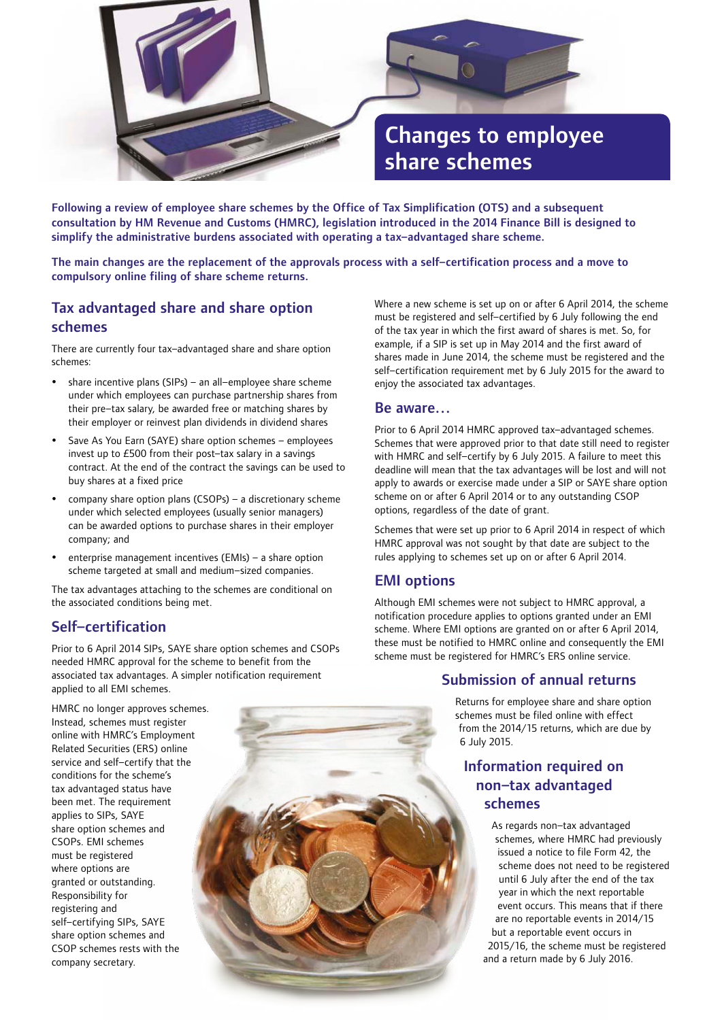

Following a review of employee share schemes by the Office of Tax Simplification (OTS) and a subsequent consultation by HM Revenue and Customs (HMRC), legislation introduced in the 2014 Finance Bill is designed to simplify the administrative burdens associated with operating a tax–advantaged share scheme.

The main changes are the replacement of the approvals process with a self–certification process and a move to compulsory online filing of share scheme returns.

## Tax advantaged share and share option schemes

There are currently four tax–advantaged share and share option schemes:

- share incentive plans (SIPs) an all–employee share scheme under which employees can purchase partnership shares from their pre–tax salary, be awarded free or matching shares by their employer or reinvest plan dividends in dividend shares
- Save As You Earn (SAYE) share option schemes employees invest up to £500 from their post–tax salary in a savings contract. At the end of the contract the savings can be used to buy shares at a fixed price
- company share option plans (CSOPs) a discretionary scheme under which selected employees (usually senior managers) can be awarded options to purchase shares in their employer company; and
- y enterprise management incentives (EMIs) a share option scheme targeted at small and medium–sized companies.

The tax advantages attaching to the schemes are conditional on the associated conditions being met.

#### Self–certification

Prior to 6 April 2014 SIPs, SAYE share option schemes and CSOPs needed HMRC approval for the scheme to benefit from the associated tax advantages. A simpler notification requirement applied to all EMI schemes.

HMRC no longer approves schemes. Instead, schemes must register online with HMRC's Employment Related Securities (ERS) online service and self–certify that the conditions for the scheme's tax advantaged status have been met. The requirement applies to SIPs, SAYE share option schemes and CSOPs. EMI schemes must be registered where options are granted or outstanding. Responsibility for registering and self–certifying SIPs, SAYE share option schemes and CSOP schemes rests with the company secretary.



Where a new scheme is set up on or after 6 April 2014, the scheme must be registered and self–certified by 6 July following the end of the tax year in which the first award of shares is met. So, for example, if a SIP is set up in May 2014 and the first award of shares made in June 2014, the scheme must be registered and the self–certification requirement met by 6 July 2015 for the award to enjoy the associated tax advantages.

#### Be aware…

Prior to 6 April 2014 HMRC approved tax–advantaged schemes. Schemes that were approved prior to that date still need to register with HMRC and self–certify by 6 July 2015. A failure to meet this deadline will mean that the tax advantages will be lost and will not apply to awards or exercise made under a SIP or SAYE share option scheme on or after 6 April 2014 or to any outstanding CSOP options, regardless of the date of grant.

Schemes that were set up prior to 6 April 2014 in respect of which HMRC approval was not sought by that date are subject to the rules applying to schemes set up on or after 6 April 2014.

## EMI options

Although EMI schemes were not subject to HMRC approval, a notification procedure applies to options granted under an EMI scheme. Where EMI options are granted on or after 6 April 2014, these must be notified to HMRC online and consequently the EMI scheme must be registered for HMRC's ERS online service.

## Submission of annual returns

Returns for employee share and share option schemes must be filed online with effect from the 2014/15 returns, which are due by 6 July 2015.

## Information required on non–tax advantaged schemes

As regards non–tax advantaged schemes, where HMRC had previously issued a notice to file Form 42, the scheme does not need to be registered until 6 July after the end of the tax year in which the next reportable event occurs. This means that if there are no reportable events in 2014/15 but a reportable event occurs in 2015/16, the scheme must be registered and a return made by 6 July 2016.